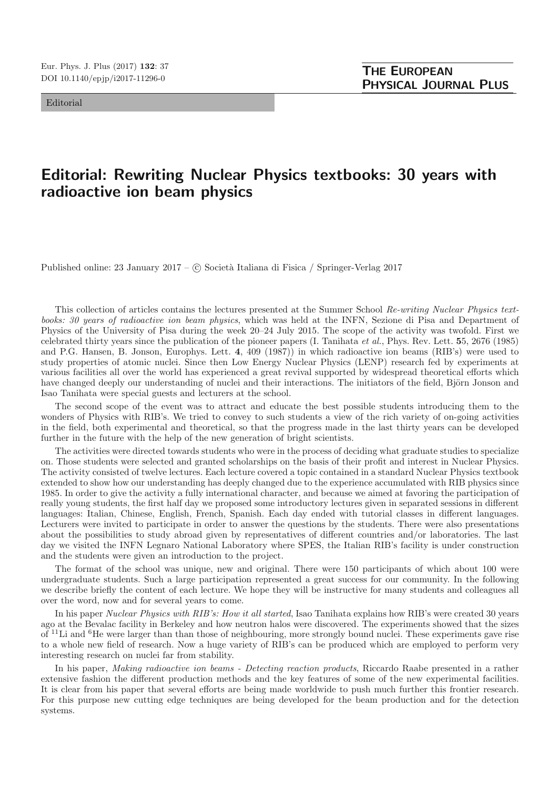Editorial

## **Editorial: Rewriting Nuclear Physics textbooks: 30 years with radioactive ion beam physics**

Published online: 23 January 2017 – © Società Italiana di Fisica / Springer-Verlag 2017

This collection of articles contains the lectures presented at the Summer School Re-writing Nuclear Physics textbooks: 30 years of radioactive ion beam physics, which was held at the INFN, Sezione di Pisa and Department of Physics of the University of Pisa during the week 20–24 July 2015. The scope of the activity was twofold. First we celebrated thirty years since the publication of the pioneer papers (I. Tanihata et al., Phys. Rev. Lett. **5**5, 2676 (1985) and P.G. Hansen, B. Jonson, Europhys. Lett. **4**, 409 (1987)) in which radioactive ion beams (RIB's) were used to study properties of atomic nuclei. Since then Low Energy Nuclear Physics (LENP) research fed by experiments at various facilities all over the world has experienced a great revival supported by widespread theoretical efforts which have changed deeply our understanding of nuclei and their interactions. The initiators of the field, Björn Jonson and Isao Tanihata were special guests and lecturers at the school.

The second scope of the event was to attract and educate the best possible students introducing them to the wonders of Physics with RIB's. We tried to convey to such students a view of the rich variety of on-going activities in the field, both experimental and theoretical, so that the progress made in the last thirty years can be developed further in the future with the help of the new generation of bright scientists.

The activities were directed towards students who were in the process of deciding what graduate studies to specialize on. Those students were selected and granted scholarships on the basis of their profit and interest in Nuclear Physics. The activity consisted of twelve lectures. Each lecture covered a topic contained in a standard Nuclear Physics textbook extended to show how our understanding has deeply changed due to the experience accumulated with RIB physics since 1985. In order to give the activity a fully international character, and because we aimed at favoring the participation of really young students, the first half day we proposed some introductory lectures given in separated sessions in different languages: Italian, Chinese, English, French, Spanish. Each day ended with tutorial classes in different languages. Lecturers were invited to participate in order to answer the questions by the students. There were also presentations about the possibilities to study abroad given by representatives of different countries and/or laboratories. The last day we visited the INFN Legnaro National Laboratory where SPES, the Italian RIB's facility is under construction and the students were given an introduction to the project.

The format of the school was unique, new and original. There were 150 participants of which about 100 were undergraduate students. Such a large participation represented a great success for our community. In the following we describe briefly the content of each lecture. We hope they will be instructive for many students and colleagues all over the word, now and for several years to come.

In his paper Nuclear Physics with RIB's: How it all started, Isao Tanihata explains how RIB's were created 30 years ago at the Bevalac facility in Berkeley and how neutron halos were discovered. The experiments showed that the sizes of <sup>11</sup>Li and <sup>6</sup>He were larger than than those of neighbouring, more strongly bound nuclei. These experiments gave rise to a whole new field of research. Now a huge variety of RIB's can be produced which are employed to perform very interesting research on nuclei far from stability.

In his paper, Making radioactive ion beams - Detecting reaction products, Riccardo Raabe presented in a rather extensive fashion the different production methods and the key features of some of the new experimental facilities. It is clear from his paper that several efforts are being made worldwide to push much further this frontier research. For this purpose new cutting edge techniques are being developed for the beam production and for the detection systems.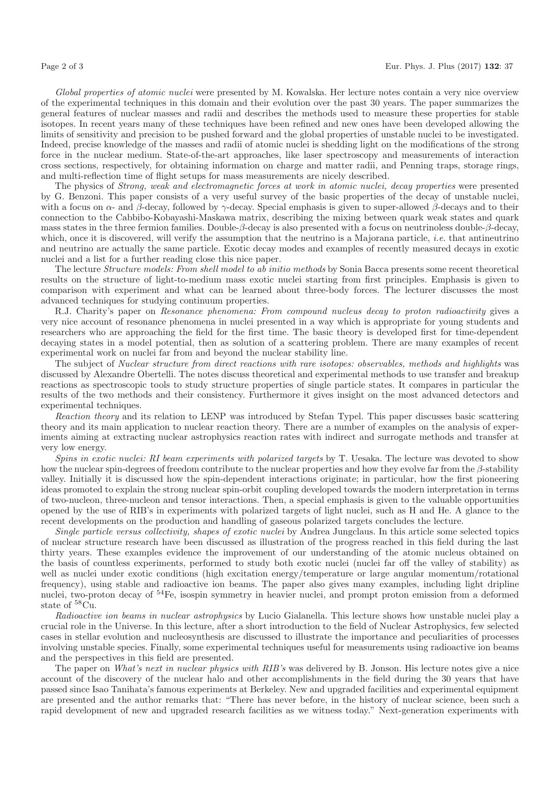Global properties of atomic nuclei were presented by M. Kowalska. Her lecture notes contain a very nice overview of the experimental techniques in this domain and their evolution over the past 30 years. The paper summarizes the general features of nuclear masses and radii and describes the methods used to measure these properties for stable isotopes. In recent years many of these techniques have been refined and new ones have been developed allowing the limits of sensitivity and precision to be pushed forward and the global properties of unstable nuclei to be investigated. Indeed, precise knowledge of the masses and radii of atomic nuclei is shedding light on the modifications of the strong force in the nuclear medium. State-of-the-art approaches, like laser spectroscopy and measurements of interaction cross sections, respectively, for obtaining information on charge and matter radii, and Penning traps, storage rings, and multi-reflection time of flight setups for mass measurements are nicely described.

The physics of *Strong, weak and electromagnetic forces at work in atomic nuclei, decay properties* were presented by G. Benzoni. This paper consists of a very useful survey of the basic properties of the decay of unstable nuclei, with a focus on  $\alpha$ - and  $\beta$ -decay, followed by  $\gamma$ -decay. Special emphasis is given to super-allowed  $\beta$ -decays and to their connection to the Cabbibo-Kobayashi-Maskawa matrix, describing the mixing between quark weak states and quark mass states in the three fermion families. Double-β-decay is also presented with a focus on neutrinoless double-β-decay, which, once it is discovered, will verify the assumption that the neutrino is a Majorana particle, *i.e.* that antineutrino and neutrino are actually the same particle. Exotic decay modes and examples of recently measured decays in exotic nuclei and a list for a further reading close this nice paper.

The lecture Structure models: From shell model to ab initio methods by Sonia Bacca presents some recent theoretical results on the structure of light-to-medium mass exotic nuclei starting from first principles. Emphasis is given to comparison with experiment and what can be learned about three-body forces. The lecturer discusses the most advanced techniques for studying continuum properties.

R.J. Charity's paper on Resonance phenomena: From compound nucleus decay to proton radioactivity gives a very nice account of resonance phenomena in nuclei presented in a way which is appropriate for young students and researchers who are approaching the field for the first time. The basic theory is developed first for time-dependent decaying states in a model potential, then as solution of a scattering problem. There are many examples of recent experimental work on nuclei far from and beyond the nuclear stability line.

The subject of Nuclear structure from direct reactions with rare isotopes: observables, methods and highlights was discussed by Alexandre Obertelli. The notes discuss theoretical and experimental methods to use transfer and breakup reactions as spectroscopic tools to study structure properties of single particle states. It compares in particular the results of the two methods and their consistency. Furthermore it gives insight on the most advanced detectors and experimental techniques.

Reaction theory and its relation to LENP was introduced by Stefan Typel. This paper discusses basic scattering theory and its main application to nuclear reaction theory. There are a number of examples on the analysis of experiments aiming at extracting nuclear astrophysics reaction rates with indirect and surrogate methods and transfer at very low energy.

Spins in exotic nuclei: RI beam experiments with polarized targets by T. Uesaka. The lecture was devoted to show how the nuclear spin-degrees of freedom contribute to the nuclear properties and how they evolve far from the β-stability valley. Initially it is discussed how the spin-dependent interactions originate; in particular, how the first pioneering ideas promoted to explain the strong nuclear spin-orbit coupling developed towards the modern interpretation in terms of two-nucleon, three-nucleon and tensor interactions. Then, a special emphasis is given to the valuable opportunities opened by the use of RIB's in experiments with polarized targets of light nuclei, such as H and He. A glance to the recent developments on the production and handling of gaseous polarized targets concludes the lecture.

Single particle versus collectivity, shapes of exotic nuclei by Andrea Jungclaus. In this article some selected topics of nuclear structure research have been discussed as illustration of the progress reached in this field during the last thirty years. These examples evidence the improvement of our understanding of the atomic nucleus obtained on the basis of countless experiments, performed to study both exotic nuclei (nuclei far off the valley of stability) as well as nuclei under exotic conditions (high excitation energy/temperature or large angular momentum/rotational frequency), using stable and radioactive ion beams. The paper also gives many examples, including light dripline nuclei, two-proton decay of <sup>54</sup>Fe, isospin symmetry in heavier nuclei, and prompt proton emission from a deformed state of <sup>58</sup>Cu.

Radioactive ion beams in nuclear astrophysics by Lucio Gialanella. This lecture shows how unstable nuclei play a crucial role in the Universe. In this lecture, after a short introduction to the field of Nuclear Astrophysics, few selected cases in stellar evolution and nucleosynthesis are discussed to illustrate the importance and peculiarities of processes involving unstable species. Finally, some experimental techniques useful for measurements using radioactive ion beams and the perspectives in this field are presented.

The paper on What's next in nuclear physics with RIB's was delivered by B. Jonson. His lecture notes give a nice account of the discovery of the nuclear halo and other accomplishments in the field during the 30 years that have passed since Isao Tanihata's famous experiments at Berkeley. New and upgraded facilities and experimental equipment are presented and the author remarks that: "There has never before, in the history of nuclear science, been such a rapid development of new and upgraded research facilities as we witness today." Next-generation experiments with